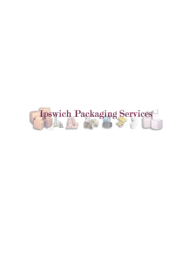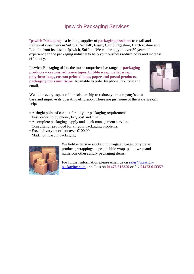### Ipswich Packaging Services

**Ipswich Packaging** is a leading supplier of **packaging products** to retail and industrial customers in Suffolk, Norfolk, Essex, Cambridgeshire, Hertfordshire and London from its base in Ipswich, Suffolk. We can bring you over 30 years of experience in the packaging industry to help your business reduce costs and increase efficiency.

Ipswich Packaging offers the most comprehensive range of **packaging products – cartons, adhesive tapes, bubble wrap, pallet wrap, polythene bags, custom printed bags, paper and postal products, packaging tools and twine**. Available to order by phone, fax, post and email.



We tailor every aspect of our relationship to reduce your company's cost base and improve its operating efficiency. These are just some of the ways we can help:

- A single point of contact for all your packaging requirements.
- Easy ordering by phone, fax, post and email.
- A complete packaging supply and stock management service.
- Consultancy provided for all your packaging problems.
- Free delivery on orders over £100.00

.

• Made to measure packaging



We hold extensive stocks of corrugated cases, polythene products, wrappings, tapes, bubble wrap, pallet wrap and numerous other sundry packaging items.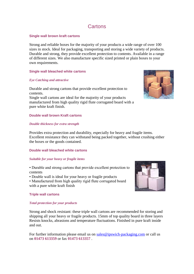### **Cartons**

#### **Single wall brown kraft cartons**

Strong and reliable boxes for the majority of your products a wide range of over 100 sizes in stock. Ideal for packaging, transporting and storing a wide variety of products. Durable and strong, they provide excellent protection to contents. Available in a range of different sizes. We also manufacture specific sized printed or plain boxes to your own requirements.

#### **Single wall bleached white cartons**

#### *Eye Catching and attractive*

Durable and strong cartons that provide excellent protection to contents. Single wall cartons are ideal for the majority of your products manufactured from high quality rigid flute corrugated board with a pure white kraft finish.

#### **Double wall brown Kraft cartons**

#### *Double thickness for extra strength*

Provides extra protection and durability, especially for heavy and fragile items. Excellent resistance they can withstand being packed together, without crushing either the boxes or the goods contained.

#### **Double wall bleached white cartons**

#### *Suitable for your heavy or fragile items*

• Durable and strong cartons that provide excellent protection to contents

• Double wall is ideal for your heavy or fragile products

• Manufactured from high quality rigid flute corrugated board with a pure white kraft finish

#### **Triple wall cartons**

#### *Total protection for your products*

Strong and shock resistant: these triple wall cartons are recommended for storing and shipping all your heavy or fragile products. 15mm of top quality board in three layers Resists knocks, abrasions and temperature fluctuations. Finished in pure kraft inside and out.



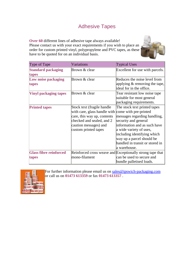# Adhesive Tapes

**Over 60** different lines of adhesive tape always available! Please contact us with your exact requirements if you wish to place an order for custom printed vinyl, polypropylene and PVC tapes, as these have to be quoted for on an individual basis.



| Type of Tape                           | Variations                                                                                                                                                                                    | <b>Typical Uses</b>                                                                                                                                                                                                                                            |
|----------------------------------------|-----------------------------------------------------------------------------------------------------------------------------------------------------------------------------------------------|----------------------------------------------------------------------------------------------------------------------------------------------------------------------------------------------------------------------------------------------------------------|
| <b>Standard packaging</b><br>tapes     | Brown & clear                                                                                                                                                                                 | Excellent for use with parcels.                                                                                                                                                                                                                                |
| Low noise packaging<br>tapes           | Brown & clear                                                                                                                                                                                 | Reduces the noise level from<br>applying $\&$ removing the tape,<br>ideal for in the office.                                                                                                                                                                   |
| <b>Vinyl packaging tapes</b>           | Brown & clear                                                                                                                                                                                 | Tear resistant low noise tape<br>suitable for most general<br>packaging requirements.                                                                                                                                                                          |
| <b>Printed tapes</b>                   | Stock text (fragile handle<br>with care, glass handle with come with pre-printed<br>care, this way up, contents<br>checked and sealed, and 2<br>caution messages) and<br>custom printed tapes | The stock text printed tapes<br>messages regarding handling,<br>security and general<br>information and as such have<br>a wide variety of uses,<br>including identifying which<br>way up a parcel should be<br>handled in transit or stored in<br>a warehouse. |
| <b>Glass fibre reinforced</b><br>tapes | mono-filament                                                                                                                                                                                 | Reinforced cross weave and Exceptionally strong tape that<br>can be used to secure and<br>bundle palletised loads.                                                                                                                                             |

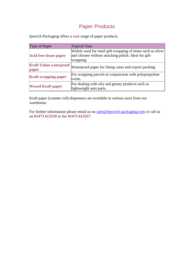## Paper Products

Ipswich Packaging offers a **vast** range of paper products.

| Type of Paper                          | <b>Typical Uses</b>                                                                                                               |
|----------------------------------------|-----------------------------------------------------------------------------------------------------------------------------------|
| <b>Acid free tissue paper</b>          | Widely used for retail gift-wrapping of items such as silver<br>and chrome without attacking polish. Ideal for gift-<br>wrapping. |
| <b>Kraft Union waterproof</b><br>paper | Waterproof paper for lining cases and export packing.                                                                             |
| <b>Kraft wrapping paper</b>            | For wrapping parcels in conjunction with polypropylene<br>twine.                                                                  |
| <b>Waxed Kraft paper</b>               | For dealing with oily and greasy products such as<br>lightweight auto parts.                                                      |

Kraft paper (counter roll) dispensers are available in various sizes from our warehouse.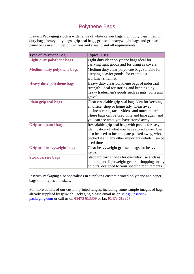# Polythene Bags

Ipswich Packaging stock a wide range of white carrier bags, light duty bags, medium duty bags, heavy duty bags, grip seal bags, grip seal heavyweight bags and grip seal panel bags in a number of microns and sizes to suit all requirements.

| Type of Polythene Bag             | <b>Typical Uses</b>                                                                                                                                                                                                                     |
|-----------------------------------|-----------------------------------------------------------------------------------------------------------------------------------------------------------------------------------------------------------------------------------------|
| <b>Light duty polythene bags</b>  | Light duty clear polythene bags ideal for<br>carrying light goods and for using as covers.                                                                                                                                              |
| <b>Medium duty polythene bags</b> | Medium duty clear polythene bags suitable for<br>carrying heavier goods, for example a<br>workmen's helmet.                                                                                                                             |
| <b>Heavy duty polythene bags</b>  | Heavy duty clear polythene bags of industrial<br>strength. Ideal for storing and keeping tidy<br>heavy tradesmen's goods such as nuts, bolts and<br>gravel.                                                                             |
| Plain grip seal bags              | Clear resealable grip seal bags idea for keeping<br>an office, shop or home tidy. Clear away<br>business cards, tacks videos and much more!<br>These bags can be used time and time again and<br>you can see what you have stored away. |
| <b>Grip seal panel bags</b>       | Resealable grip seal bags with panels for easy<br>identication of what you have stored away. Can<br>also be used to include date packed away, who<br>packed it and any other important details. Can be<br>used time and time.           |
| <b>Grip seal heavyweight bags</b> | Clear heavyweight grip seal bags for heavy<br>litems.                                                                                                                                                                                   |
| <b>Stock carrier bags</b>         | Standard carrier bags for everyday use such as<br>clothing and lightweight general shopping. many<br>colours, designed to your specific requirements                                                                                    |

Ipswich Packaging also specialises in supplying custom printed polythene and paper bags of all types and sizes.

For more details of our custom printed ranges, including some sample images of bags already supplied by Ipswich Packaging please email us on sales@ipswichpackaging.com or call us on **01473 613359** or fax **01473 613357** .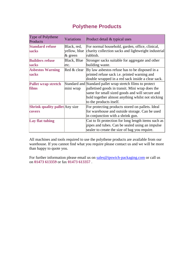### **Polythene Products**

| Type of Polythene<br>Products                          | <b>Variations</b>                         | Product detail & typical uses                                                                                                                                                                                                                   |
|--------------------------------------------------------|-------------------------------------------|-------------------------------------------------------------------------------------------------------------------------------------------------------------------------------------------------------------------------------------------------|
| <b>Standard refuse</b><br><b>sacks</b>                 | Black, red,<br>yellow, blue<br>$\&$ green | For normal household, garden, office, clinical,<br>charity collection sacks and lightweight industrial<br>rubbish.                                                                                                                              |
| <b>Builders refuse</b><br><b>sacks</b>                 | Black, Blue<br>letc.                      | Stronger sacks suitable for aggregate and other<br>building waste.                                                                                                                                                                              |
| <b>Asbestos Warning</b><br><b>sacks</b>                | Red & clear                               | By law asbestos refuse has to be disposed in a<br>printed refuse sack i.e. printed warning and<br>double wrapped in a red sack inside a clear sack.                                                                                             |
| <b>Pallet wrap stretch</b><br>films                    | mini wrap                                 | Standard and Standard pallet wrap stretch films to protect<br>palletised goods in transit. Mini wrap does the<br>same for small sized goods and will secure and<br>hold together almost anything whilst not sticking<br>to the products itself. |
| <b>Shrink quality pallet</b> Any size<br><b>covers</b> |                                           | For protecting products stored on pallets. Ideal<br>for warehouse and outside storage. Can be used<br>in conjunction with a shrink gun.                                                                                                         |
| Lay flat tubing                                        |                                           | Cut to fit protection for long length items such as<br>pipes and tubes. Can be sealed using an impulse<br>sealer to create the size of bag you require.                                                                                         |

All machines and tools required to use the polythene products are available from our warehouse. If you cannot find what you require please contact us and we will be more than happy to quote you.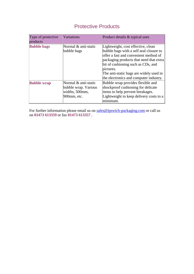# Protective Products

| Type of protective<br>products | <b>Variations</b>                                                             | Product details & typical uses                                                                                                                                                                                                                                                                            |
|--------------------------------|-------------------------------------------------------------------------------|-----------------------------------------------------------------------------------------------------------------------------------------------------------------------------------------------------------------------------------------------------------------------------------------------------------|
| <b>Bubble bags</b>             | Normal & anti-static<br>bubble bags                                           | Lightweight, cost effective, clean<br>bubble bags with a self seal closure to<br>offer a fast and convenient method of<br>packaging products that need that extra<br>bit of cushioning such as CDs, and<br>pictures.<br>The anti-static bags are widely used in<br>the electronics and computer industry. |
| <b>Bubble wrap</b>             | Normal & anti-static<br>bubble wrap. Various<br>widths, 500mm,<br>900mm, etc. | Bubble wrap provides flexible and<br>shockproof cushioning for delicate<br>items to help prevent breakages.<br>Lightweight to keep delivery costs to a<br>minimum.                                                                                                                                        |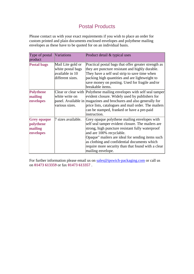### Postal Products

Please contact us with your exact requirements if you wish to place an order for custom printed and plain documents enclosed envelopes and polythene mailing envelopes as these have to be quoted for on an individual basis.

| Type of postal<br>product                               | <b>Variations</b>                                                             | Product detail & typical uses                                                                                                                                                                                                                                                                                                                                    |
|---------------------------------------------------------|-------------------------------------------------------------------------------|------------------------------------------------------------------------------------------------------------------------------------------------------------------------------------------------------------------------------------------------------------------------------------------------------------------------------------------------------------------|
| <b>Postal bags</b>                                      | Mail Lite gold or<br>white postal bags<br>available in 10<br>different sizes. | Practical postal bags that offer greater strength as<br>they are puncture resistant and highly durable.<br>They have a self seal strip to save time when<br>packing high quantities and are lightweight to<br>save money on posting. Used for fragile and/or<br>breakable items.                                                                                 |
| <b>Polythene</b><br>mailing<br>envelopes                | white write on<br>various sizes.                                              | Clear or clear with Polythene mailing envelopes with self seal tamper<br>evident closure. Widely used by publishers for<br>panel. Available in magazines and brochures and also generally for<br>price lists, catalogues and mail order. The mailers<br>can be stamped, franked or have a pre-paid<br>instruction.                                               |
| <b>Grey opaque</b><br>polythene<br>mailing<br>envelopes | 7 sizes available.                                                            | Grey opaque polythene mailing envelopes with<br>self seal tamper evident closure. The mailers are<br>strong, high puncture resistant fully waterproof<br>and are 100% recyclable.<br>Opaque" mailers are ideal for sending items such<br>as clothing and confidential documents which<br>require more security than that found with a clear<br>mailing envelope. |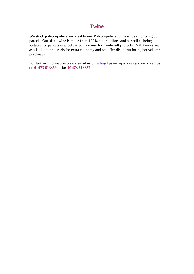### **Twine**

We stock polypropylene and sisal twine. Polypropylene twine is ideal for tying up parcels. Our sisal twine is made from 100% natural fibres and as well as being suitable for parcels is widely used by many for handicraft projects. Both twines are available in large reels for extra economy and we offer discounts for higher volume purchases.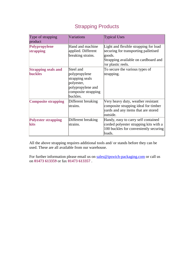| Type of strapping<br>product                 | Variations                                                                                                          | <b>Typical Uses</b>                                                                                                                                   |
|----------------------------------------------|---------------------------------------------------------------------------------------------------------------------|-------------------------------------------------------------------------------------------------------------------------------------------------------|
| Polypropylene<br>strapping                   | Hand and machine<br>applied. Different<br>breaking strains.                                                         | Light and flexible strapping for load<br>securing for transporting palletised<br>goods.<br>Strapping available on cardboard and<br>/or plastic reels. |
| <b>Strapping seals and</b><br><b>buckles</b> | Steel and<br>polypropylene<br>strapping seals<br>polyester,<br>polypropylene and<br>composite strapping<br>buckles. | To secure the various types of<br>strapping.                                                                                                          |
| <b>Composite strapping</b>                   | Different breaking<br>strains.                                                                                      | Very heavy duty, weather resistant<br>composite strapping ideal for timber<br>yards and any items that are stored<br>outside.                         |
| <b>Polyester strapping</b><br>kits           | Different breaking<br>strains.                                                                                      | Handy, easy to carry self contained<br>corded polyester strapping kits with a<br>100 buckles for conveniently securing<br>loads.                      |

## Strapping Products

All the above strapping requires additional tools and/ or stands before they can be used. These are all available from our warehouse.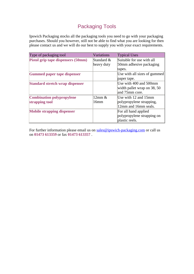## Packaging Tools

Ipswich Packaging stocks all the packaging tools you need to go with your packaging purchases. Should you however, still not be able to find what you are looking for then please contact us and we will do our best to supply you with your exact requirements.

| Type of packaging tool                    | <b>Variations</b> | <b>Typical Uses</b>          |
|-------------------------------------------|-------------------|------------------------------|
| <b>Pistol grip tape dispensers (50mm)</b> | Standard &        | Suitable for use with all    |
|                                           | heavy duty        | 50mm adhesive packaging      |
|                                           |                   | tapes.                       |
| <b>Gummed paper tape dispenser</b>        |                   | Use with all sizes of gummed |
|                                           |                   | paper tape.                  |
| <b>Standard stretch wrap dispenser</b>    |                   | Use with 400 and 500mm       |
|                                           |                   | width pallet wrap on 38, 50  |
|                                           |                   | and 75mm core.               |
| <b>Combination polypropylene</b>          | $12$ mm $\&$      | Use with 12 and 15mm         |
| strapping tool                            | 16mm              | polypropylene strapping,     |
|                                           |                   | 12mm and 16mm seals.         |
| <b>Mobile strapping dispenser</b>         |                   | For all hand applied         |
|                                           |                   | polypropylene strapping on   |
|                                           |                   | plastic reels.               |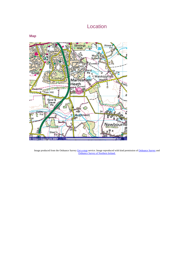### Location





Image produced from the Ordnance Survey Get-a-map service. Image reproduced with kind permission of Ordnance Survey and Ordnance Survey of Northern Ireland.